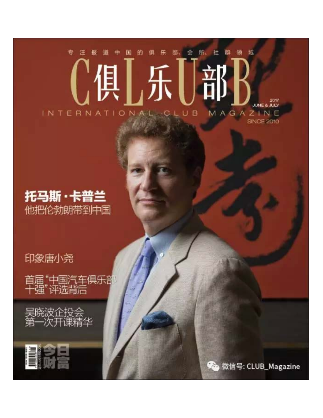#### 的 博 报 \$ 国 佃 乐 洼 遒  $\mathbb{R}$ **JUNE & JULY** MAGAZINE INTERNATIONA **B** ្យ



# 印象唐小尧

首届"中国汽车俱乐部"<br>十强"评选背后



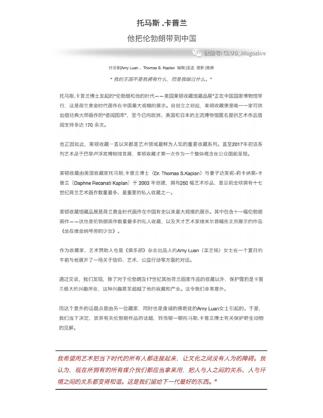# 托马斯,卡普兰

## 他把伦勃朗带到中国

(流) 微信号: CLUB\_Magazine

对话者|Amy Luan、Thomas S. Kaplan 编辑 |孟孟 摄影 |雅静

"我的王国不是我拥有什么,而是我做过什么。"

托马斯.卡普兰博士发起的"伦勃朗和他的时代——美国莱顿收藏馆藏品展"正在中国国家博物馆举 行、这是荷兰黄金时代画作在中国最大规模的展示。自创立之初起、莱顿收藏便是唯一一家可供 出借经典大师画作的"借阅图库", 至今已向欧洲、美国和日本的主流博物馆匿名提供艺术作品借 阅支持多达170余次。

也正因如此, 莱顿收藏一直以来都是艺术领域最鲜为人知的重要收藏系列。直至2017年初该系 列艺术品于巴黎卢浮宫博物馆首展, 莱顿收藏才第一次作为一个整体概念在公众面前呈现。

莱顿收藏由美国收藏家托马斯.卡普兰博士 (Dr. Thomas S.Kaplan) 与妻子达芙妮-莉卡纳第-卡 普兰 (Daphne Recanati Kaplan) 于 2003 年创建, 拥有250 幅艺术珍品, 是目前全球拥有十七 世纪荷兰艺术画作数量最多、最重要的私人收藏之一。

莱顿收藏馆藏品展是荷兰黄金时代画作在中国有史以来最大规模的展示。其中包含十一幅伦勃朗 画作——这也是伦勃朗画作数量最多的私人收藏, 以及天才艺术家维米尔首幅在北京展示的作品 《坐在维金纳琴旁的少女》。

作为收藏家、艺术赞助人也是《俱乐部》杂志出品人的Amy Luan(栾艺铭)女士在一个夏日的 午前与他展开了一场关于信仰、艺术、公益行动等方面的对话。

通过交谈, 我们发现, 除了对于伦勃朗及17世纪其他荷兰画家作品的收藏以外, 保护雪豹是卡普 兰极大的兴趣所在、这种兴趣甚至超越了他的收藏和产业。这令我们非常意外。

而这个意外的话题点是由另一位藏家,同时也是虔诚的佛教徒的Amy Luan女士引起的。于是, 我们当下决定, 放弃有关伦勃朗作品的话题, 转而聊一聊托马斯,卡普兰博士有关保护野生动物 的见解。

我希望用艺术把当下时代的所有人都连接起来,让文化之间没有人为的障碍。我 认为,现在所拥有的所有媒介我们都应当拿来用,把人与人之间的关系、人与环 境之间的关系都变得和谐。这是我们留给下一代最好的东西。"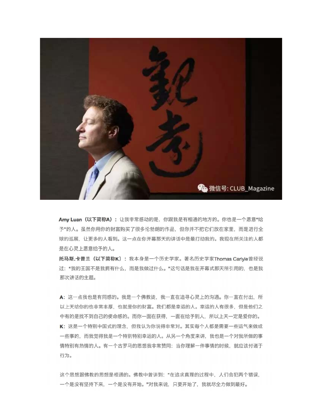

Amy Luan (以下简称A): 让我非常感动的是, 你跟我是有相通的地方的。你也是一个愿意"给 予"的人。虽然你用你的财富购买了很多伦勃朗的作品,但你并不把它们放在家里,而是进行全 球的巡展、让更多的人看到。这一点在你开幕那天的讲话中是最打动我的。我现在所关注的人都 是在心灵上愿意给予的人。

托马斯.卡普兰 (以下简称K): 我本身是一个历史学家。著名历史学家Thomas Carlyle曾经说 过: "我的王国不是我拥有什么, 而是我做过什么。"这句话是我在开幕式那天所引用的, 也是我 那次讲话的主题。

A: 这一点我也是有同感的。我是一个佛教徒, 我一直在追寻心灵上的沟通。你一直在付出, 所 以上天给你的也非常丰厚,也就是你的财富。我们都是幸运的人。幸运的人有很多,但是他们之 中有的是找不到自己的使命感的。而你一面在获得,一面在给予别人,所以上天一定是爱你的。 K: 这是一个特别中国式的理念, 但我认为你说得非常对。其实每个人都是需要一些运气来做成 一些事的,而我觉得我是一个特别特别幸运的人。从另一个角度来讲,我也是一个对我所做的事 情特别有热情的人。有一个古罗马的思想我非常赞同:当你理解一件事情的时候,就应该付诸于 行为。

这个思想跟佛教的思想是相通的。佛教中曾讲到: "在追求真理的过程中, 人们会犯两个错误, 一个是没有坚持下来, 一个是没有开始。"对我来说, 只要开始了, 我就尽全力做到最好。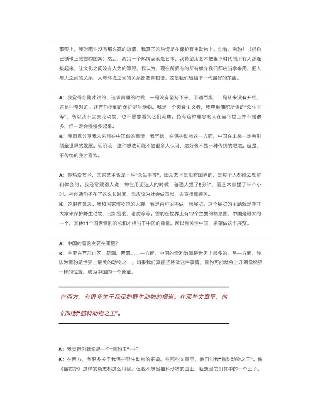事实上,我对商业没有那么高的热情,我真正的热情是在保护野生动物上。你看,雪豹! (指自 己领带上的雪豹图案)然后,我另一个热情点就是艺术。我希望用艺术把当下时代的所有人都连 接起来,让文化之间没有人为的障碍。我认为,现在所拥有的所有媒介我们都应当拿来用,把人 与人之间的关系、人与环境之间的关系都变得和谐。这是我们留给下一代最好的东西。

A: 我觉得你刚才讲的, 追求真理的时候, 一是没有坚持下来, 半途而废, 二是从来没有开始, 这是非常对的。还有你提到的保护野生动物。我是一个素食主义者,我尊重佛陀所讲的"众生平 等",所以我不会去吃动物,也不愿意看到它们流血。持有这种理念的人在当今世上并不是很 多,但一定会慢慢多起来。

K: 我愿意分享我未来想在中国做的事情: 我坚信, 在保护动物这一方面, 中国在未来一定会引 领全世界的发展。现阶段,这种想法可能不被很多人认可,这好像不是一种传统的想法。但是, 不传统的我才喜欢。

A: 你热爱艺术, 其实艺术也是一种"众生平等"。因为艺术是没有国界的, 是每个人都能去理解 和体会的。我经常跟别人说: 神在用泥造人的时候, 普通人捏了5分钟, 而艺术家捏了半个小 时。神创造你多花了这么长时间,你应该为社会做贡献,去宣扬真善美。

K: 这很有意思。我和国家博物馆的人聊, 看是否可以再做一场展览。这个展览的主题就是呼吁 大家来保护野生动物,比如雪豹、老虎等等。雪豹在世界上有12个主要的栖息国,中国是最大的 一个,其他11个国家雪豹的总和才相当于中国的数量。所以我关注中国,希望做这个展览。

A: 中国的雪豹主要在哪里?

K: 主要在西部山区. 新疆、西藏......一方面. 中国的雪豹数量是世界上最多的。另一方面. 我 认为雪豹是世界上最美的动物之一。如果我们真能坚持做这件事情,雪豹可能就会上升到像熊猫 一样的位置、成为中国的一个象征。

在西方, 有很多关于我保护野生动物的报道。在那些文章里, 他

们叫我"猫科动物之王"。

A: 我觉得你就像是一个"雪豹王"一样!

K: 在西方,有很多关于我保护野生动物的报道。在那些文章里,他们叫我"猫科动物之王"。像 《福布斯》这样的杂志都这么叫我。但我不想当猫科动物的国王,我想当它们其中的一个王子。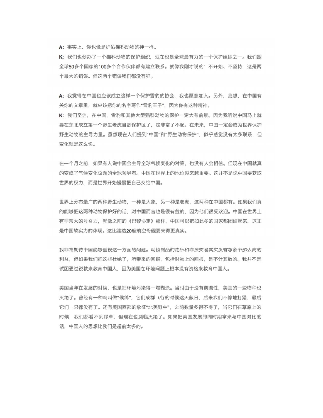A: 事实上, 你也像是护佑猫科动物的神一样。

K: 我们也创办了一个猫科动物的保护组织, 现在也是全球最有力的一个保护组织之一。我们跟 全球50多个国家的100多个合作伙伴都有建立联系。就像我刚才说的:不开始、不坚持,这是两 个最大的错误。但这两个错误我们都没有犯。

A: 我觉得在中国也应该成立这样一个保护雪豹的协会, 我也愿意加入。另外, 我想, 在中国有 关你的文章里, 就应该把你的名字写作"雪豹王子", 因为你有这种精神。

K: 我们坚信, 在中国, 雪豹和其他大型猫科动物的保护一定大有前景。因为我听说中国马上就 要在东北成立第一个野生老虎自然保护区了,这非常了不起。在未来,中国一定会成为世界保护 野生动物的主导力量。虽然现在人们提到"中国"和"野生动物保护",似乎感觉没有太多联系,但 变化就是这么快。

在一个月之前,如果有人说中国会主导全球气候变化的对策,也没有人会相信。但现在中国就真 的变成了气候变化议题的全球领导者。中国在世界上的地位越来越重要。这并不是说中国要获取 世界的权力, 而是世界开始慢慢把自己交给中国。

世界上分布最广的两种野生动物,一种是大象,另一种是老虎,这两种在中国都有。如果我们真 的能够把这两种动物保护好的话,对中国而言也是很有益的,因为他们很受欢迎。中国在世界上 有非常大的号召力,就像之前的《巴黎协定》那样,中国可以把如此多的国家都团结起来,这正 是中国软实力的体现。这比建造20艘航空母舰要来得更真实。

我非常期待中国能够重视这一方面的问题。动物制品的走私和非法交易其实没有想象中那么高的 利益、但如果我们把这些杜绝了、所带来的回报,包括财物上的回报、是不计其数的。我并不是 试图通过说教来教育中国人,因为美国在环境问题上根本没有资格来教育中国人。

美国当年在发展的时候,也是把环境污染得一塌糊涂。当时由于没有前瞻性,美国的一些物种也 灭绝了。曾经有一种鸟叫做"候鸽",它们成群飞行的时候遮天蔽日,后来我们不停地打猎,最后 它们一只都没有了。还有美国西部的象征"北美野牛",之前数量多得不得了,当它们在草原上的 时候,我们都看不到绿草,但现在也濒临灭绝了。如果把美国发展的同时期拿来与中国对比的 话. 中国人的思想比我们是超前太多的。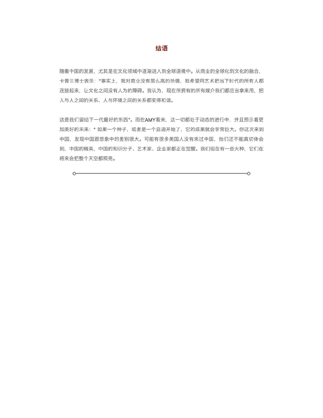#### 结语

随着中国的发展,尤其是在文化领域中逐渐进入到全球语境中。从商业的全球化到文化的融合, 卡普兰博士表示: "事实上, 我对商业没有那么高的热情, 我希望用艺术把当下时代的所有人都 连接起来,让文化之间没有人为的障碍。我认为,现在所拥有的所有媒介我们都应当拿来用,把 人与人之间的关系、人与环境之间的关系都变得和谐。

这是我们留给下一代最好的东西"。而在AMY看来,这一切都处于动态的进行中,并且预示着更 加美好的未来: "如果一个种子, 或者是一个启迪开始了, 它的成果就会非常巨大。你这次来到 中国,发现中国跟想象中的差别很大。可能有很多美国人没有来过中国,他们还不能真切体会 到,中国的精英,中国的知识分子、艺术家、企业家都正在觉醒。我们现在有一些火种,它们在 将来会把整个天空都照亮。

◇

♦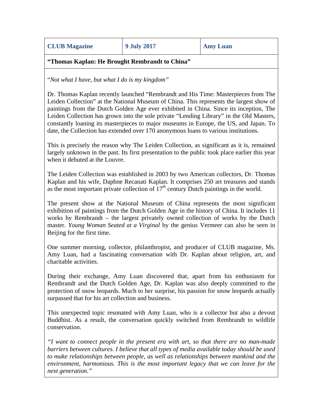**CLUB Magazine 9 July 2017 Amy Luan**

#### **"Thomas Kaplan: He Brought Rembrandt to China"**

"*Not what I have, but what I do is my kingdom"*

Dr. Thomas Kaplan recently launched "Rembrandt and His Time: Masterpieces from The Leiden Collection" at the National Museum of China. This represents the largest show of paintings from the Dutch Golden Age ever exhibited in China. Since its inception, The Leiden Collection has grown into the sole private "Lending Library" in the Old Masters, constantly loaning its masterpieces to major museums in Europe, the US, and Japan. To date, the Collection has extended over 170 anonymous loans to various institutions.

This is precisely the reason why The Leiden Collection, as significant as it is, remained largely unknown in the past. Its first presentation to the public took place earlier this year when it debuted at the Louvre.

The Leiden Collection was established in 2003 by two American collectors, Dr. Thomas Kaplan and his wife, Daphne Recanati Kaplan. It comprises 250 art treasures and stands as the most important private collection of  $17<sup>th</sup>$  century Dutch paintings in the world.

The present show at the National Museum of China represents the most significant exhibition of paintings from the Dutch Golden Age in the history of China. It includes 11 works by Rembrandt – the largest privately owned collection of works by the Dutch master. *Young Woman Seated at a Virginal* by the genius Vermeer can also be seen in Beijing for the first time.

One summer morning, collector, philanthropist, and producer of CLUB magazine, Ms. Amy Luan, had a fascinating conversation with Dr. Kaplan about religion, art, and charitable activities.

During their exchange, Amy Luan discovered that, apart from his enthusiasm for Rembrandt and the Dutch Golden Age, Dr. Kaplan was also deeply committed to the protection of snow leopards. Much to her surprise, his passion for snow leopards actually surpassed that for his art collection and business.

This unexpected topic resonated with Amy Luan, who is a collector but also a devout Buddhist. As a result, the conversation quickly switched from Rembrandt to wildlife conservation.

*"I want to connect people in the present era with art, so that there are no man-made barriers between cultures. I believe that all types of media available today should be used to make relationships between people, as well as relationships between mankind and the environment, harmonious. This is the most important legacy that we can leave for the next generation."*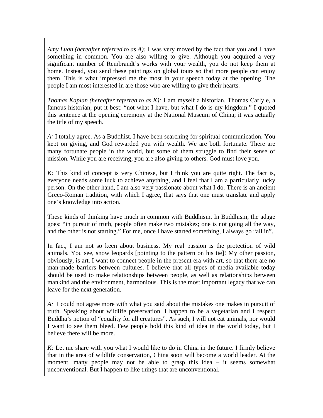*Amy Luan (hereafter referred to as A):* I was very moved by the fact that you and I have something in common. You are also willing to give. Although you acquired a very significant number of Rembrandt's works with your wealth, you do not keep them at home. Instead, you send these paintings on global tours so that more people can enjoy them. This is what impressed me the most in your speech today at the opening. The people I am most interested in are those who are willing to give their hearts.

*Thomas Kaplan (hereafter referred to as K):* I am myself a historian. Thomas Carlyle, a famous historian, put it best: "not what I have, but what I do is my kingdom." I quoted this sentence at the opening ceremony at the National Museum of China; it was actually the title of my speech.

*A:* I totally agree. As a Buddhist, I have been searching for spiritual communication. You kept on giving, and God rewarded you with wealth. We are both fortunate. There are many fortunate people in the world, but some of them struggle to find their sense of mission. While you are receiving, you are also giving to others. God must love you.

*K*: This kind of concept is very Chinese, but I think you are quite right. The fact is, everyone needs some luck to achieve anything, and I feel that I am a particularly lucky person. On the other hand, I am also very passionate about what I do. There is an ancient Greco-Roman tradition, with which I agree, that says that one must translate and apply one's knowledge into action.

These kinds of thinking have much in common with Buddhism. In Buddhism, the adage goes: "in pursuit of truth, people often make two mistakes; one is not going all the way, and the other is not starting." For me, once I have started something, I always go "all in".

In fact, I am not so keen about business. My real passion is the protection of wild animals. You see, snow leopards [pointing to the pattern on his tie]! My other passion, obviously, is art. I want to connect people in the present era with art, so that there are no man-made barriers between cultures. I believe that all types of media available today should be used to make relationships between people, as well as relationships between mankind and the environment, harmonious. This is the most important legacy that we can leave for the next generation.

*A:* I could not agree more with what you said about the mistakes one makes in pursuit of truth. Speaking about wildlife preservation, I happen to be a vegetarian and I respect Buddha's notion of "equality for all creatures". As such, I will not eat animals, nor would I want to see them bleed. Few people hold this kind of idea in the world today, but I believe there will be more.

*K:* Let me share with you what I would like to do in China in the future. I firmly believe that in the area of wildlife conservation, China soon will become a world leader. At the moment, many people may not be able to grasp this idea – it seems somewhat unconventional. But I happen to like things that are unconventional.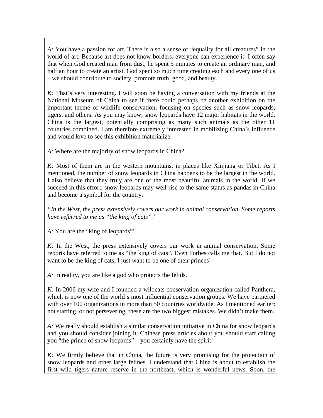*A:* You have a passion for art. There is also a sense of "equality for all creatures" in the world of art. Because art does not know borders, everyone can experience it. I often say that when God created man from dust, he spent 5 minutes to create an ordinary man, and half an hour to create an artist. God spent so much time creating each and every one of us – we should contribute to society, promote truth, good, and beauty.

*K:* That's very interesting. I will soon be having a conversation with my friends at the National Museum of China to see if there could perhaps be another exhibition on the important theme of wildlife conservation, focusing on species such as snow leopards, tigers, and others. As you may know, snow leopards have 12 major habitats in the world. China is the largest, potentially comprising as many such animals as the other 11 countries combined. I am therefore extremely interested in mobilizing China's influence and would love to see this exhibition materialize.

*A:* Where are the majority of snow leopards in China?

*K:* Most of them are in the western mountains, in places like Xinjiang or Tibet. As I mentioned, the number of snow leopards in China happens to be the largest in the world. I also believe that they truly are one of the most beautiful animals in the world. If we succeed in this effort, snow leopards may well rise to the same status as pandas in China and become a symbol for the country.

*"In the West, the press extensively covers our work in animal conservation. Some reports have referred to me as "the king of cats"."*

*A:* You are the "king of leopards"!

*K:* In the West, the press extensively covers our work in animal conservation. Some reports have referred to me as "the king of cats". Even Forbes calls me that. But I do not want to be the king of cats; I just want to be one of their princes!

*A:* In reality, you are like a god who protects the felids.

*K:* In 2006 my wife and I founded a wildcats conservation organization called Panthera, which is now one of the world's most influential conservation groups. We have partnered with over 100 organizations in more than 50 countries worldwide. As I mentioned earlier: not starting, or not persevering, these are the two biggest mistakes. We didn't make them.

*A:* We really should establish a similar conservation initiative in China for snow leopards and you should consider joining it. Chinese press articles about you should start calling you "the prince of snow leopards" – you certainly have the spirit!

*K:* We firmly believe that in China, the future is very promising for the protection of snow leopards and other large felines. I understand that China is about to establish the first wild tigers nature reserve in the northeast, which is wonderful news. Soon, the